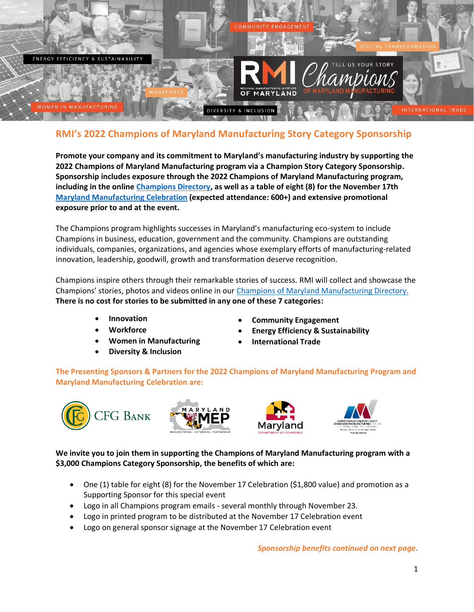

## **RMI's 2022 Champions of Maryland Manufacturing Story Category Sponsorship**

**Promote your company and its commitment to Maryland's manufacturing industry by supporting the 2022 Champions of Maryland Manufacturing program via a Champion Story Category Sponsorship. Sponsorship includes exposure through the 2022 Champions of Maryland Manufacturing program, including in the online [Champions Directory,](https://rmiofmaryland.com/2022-champions-of-maryland-manufacturing-directory/) as well as a table of eight (8) for the November 17th [Maryland Manufacturing Celebration](https://rmiofmaryland.com/2022-maryland-manufacturing-celebration/) (expected attendance: 600+) and extensive promotional exposure prior to and at the event.**

The Champions program highlights successes in Maryland's manufacturing eco-system to include Champions in business, education, government and the community. Champions are outstanding individuals, companies, organizations, and agencies whose exemplary efforts of manufacturing-related innovation, leadership, goodwill, growth and transformation deserve recognition.

Champions inspire others through their remarkable stories of success. RMI will collect and showcase the Champions' stories, photos and videos online in our [Champions of Maryland Manufacturing Directory.](https://rmiofmaryland.com/2022-champions-of-maryland-manufacturing-directory/) **There is no cost for stories to be submitted in any one of these 7 categories:**

- **Innovation**
- **Workforce**
- **Women in Manufacturing**
- **Diversity & Inclusion**
- **Community Engagement**
- **Energy Efficiency & Sustainability**
- **International Trade**

**The Presenting Sponsors & Partners for the 2022 Champions of Maryland Manufacturing Program and Maryland Manufacturing Celebration are:**









**We invite you to join them in supporting the Champions of Maryland Manufacturing program with a \$3,000 Champions Category Sponsorship, the benefits of which are:**

- One (1) table for eight (8) for the November 17 Celebration (\$1,800 value) and promotion as a Supporting Sponsor for this special event
- Logo in all Champions program emails several monthly through November 23.
- Logo in printed program to be distributed at the November 17 Celebration event
- Logo on general sponsor signage at the November 17 Celebration event

*Sponsorship benefits continued on next page.*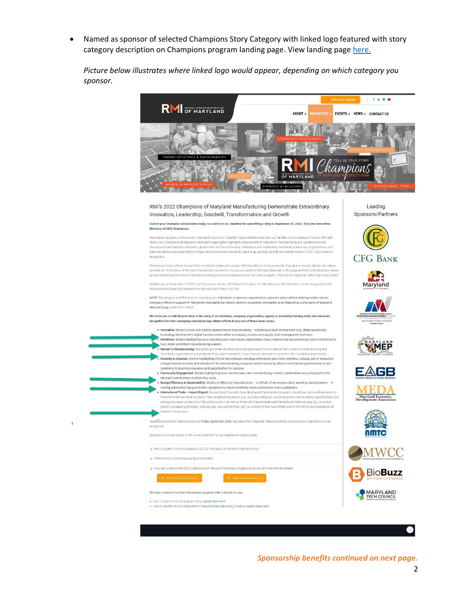• Named as sponsor of selected Champions Story Category with linked logo featured with story category description on Champions program landing page. View landing page [here.](https://rmiofmaryland.com/rmis-2022-champions-of-maryland-manufacturing/)

*Picture below illustrates where linked logo would appear, depending on which category you sponsor.*



×

*Sponsorship benefits continued on next page.*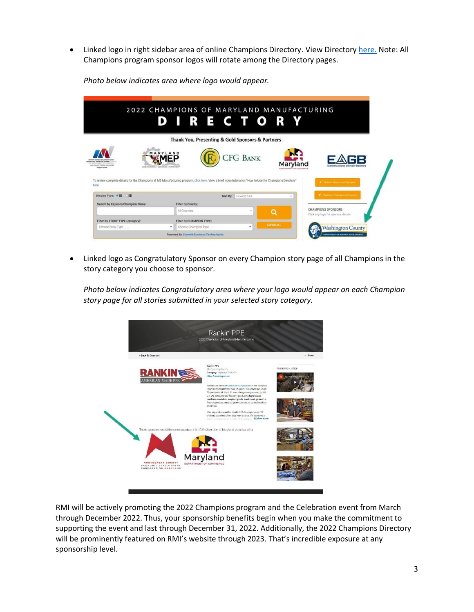• Linked logo in right sidebar area of online Champions Directory. View Directory [here.](https://rmiofmaryland.com/2022-champions-of-maryland-manufacturing-directory/) Note: All Champions program sponsor logos will rotate among the Directory pages.

|                                                                                                                                                                                                                                                                                                                   | <b>DIRECTORY</b><br>Thank You, Presenting & Gold Sponsors & Partners<br>MARYLAND |                       |                                                                                                                                            |                                                          |  |
|-------------------------------------------------------------------------------------------------------------------------------------------------------------------------------------------------------------------------------------------------------------------------------------------------------------------|----------------------------------------------------------------------------------|-----------------------|--------------------------------------------------------------------------------------------------------------------------------------------|----------------------------------------------------------|--|
| CHANGED MANAGEMENT                                                                                                                                                                                                                                                                                                | MEP                                                                              | <b>CFG BANK</b>       | Maryland                                                                                                                                   |                                                          |  |
| a progressive or conserver<br>will allutely clocks. Antivalent<br>accountability and a staffinance a manifestation<br><b>Registe Follow</b><br>To review complete details for the Champions of MD Manufacturing program, click here. View a brief video tutorial on "How to Use the Champions Directory"<br>here. |                                                                                  |                       | <b><i>REBARTMENT OF COMMERCE</i></b>                                                                                                       | 4 Submit Story of a Champion                             |  |
| Display Type: * 田 一                                                                                                                                                                                                                                                                                               |                                                                                  | Sort By: Newest First | $\sim$                                                                                                                                     | Cooner Champions Program                                 |  |
| Search by Keyword/Champion Name:                                                                                                                                                                                                                                                                                  | Filter by County:                                                                |                       |                                                                                                                                            |                                                          |  |
|                                                                                                                                                                                                                                                                                                                   | All Counties                                                                     | $\sim$                | Q                                                                                                                                          | CHAMPIONS SPONSORS<br>Click any logo for sponsor details |  |
| Filter by STORY TYPE (category):                                                                                                                                                                                                                                                                                  | Filter by CHAMPION TYPE:                                                         |                       | <u> a serie de la construcción de la construcción de la construcción de la construcción de la construcción de la c</u><br><b>CLEAR ALL</b> |                                                          |  |

*Photo below indicates area where logo would appear.* 

• Linked logo as Congratulatory Sponsor on every Champion story page of all Champions in the story category you choose to sponsor.

*Photo below indicates Congratulatory area where your logo would appear on each Champion story page for all stories submitted in your selected story category.* 



RMI will be actively promoting the 2022 Champions program and the Celebration event from March through December 2022. Thus, your sponsorship benefits begin when you make the commitment to supporting the event and last through December 31, 2022. Additionally, the 2022 Champions Directory will be prominently featured on RMI's website through 2023. That's incredible exposure at any sponsorship level.